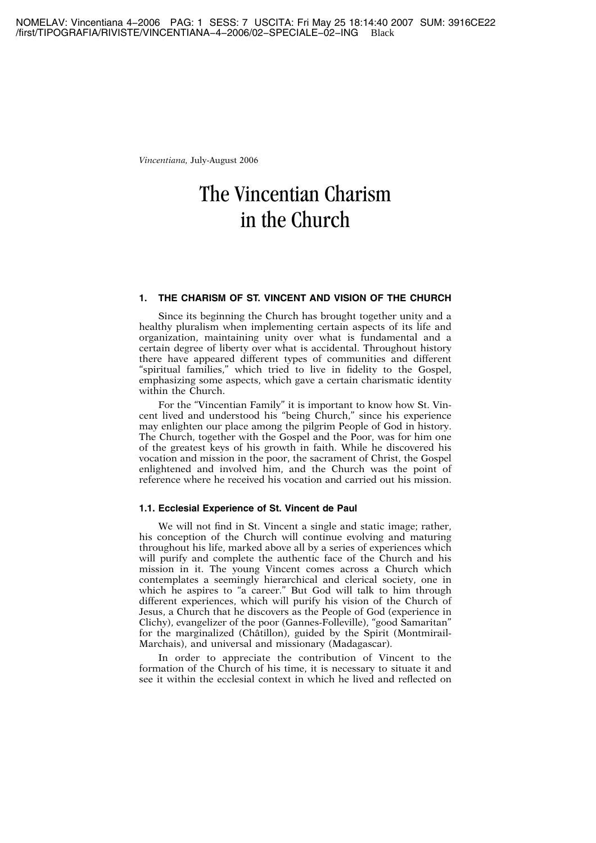# The Vincentian Charism in the Church

# **1. THE CHARISM OF ST. VINCENT AND VISION OF THE CHURCH**

Since its beginning the Church has brought together unity and a healthy pluralism when implementing certain aspects of its life and organization, maintaining unity over what is fundamental and a certain degree of liberty over what is accidental. Throughout history there have appeared different types of communities and different "spiritual families," which tried to live in fidelity to the Gospel, emphasizing some aspects, which gave a certain charismatic identity within the Church.

For the "Vincentian Family" it is important to know how St. Vincent lived and understood his "being Church," since his experience may enlighten our place among the pilgrim People of God in history. The Church, together with the Gospel and the Poor, was for him one of the greatest keys of his growth in faith. While he discovered his vocation and mission in the poor, the sacrament of Christ, the Gospel enlightened and involved him, and the Church was the point of reference where he received his vocation and carried out his mission.

#### **1.1. Ecclesial Experience of St. Vincent de Paul**

We will not find in St. Vincent a single and static image; rather, his conception of the Church will continue evolving and maturing throughout his life, marked above all by a series of experiences which will purify and complete the authentic face of the Church and his mission in it. The young Vincent comes across a Church which contemplates a seemingly hierarchical and clerical society, one in which he aspires to "a career." But God will talk to him through different experiences, which will purify his vision of the Church of Jesus, a Church that he discovers as the People of God (experience in Clichy), evangelizer of the poor (Gannes-Folleville), "good Samaritan" for the marginalized (Châtillon), guided by the Spirit (Montmirail-Marchais), and universal and missionary (Madagascar).

In order to appreciate the contribution of Vincent to the formation of the Church of his time, it is necessary to situate it and see it within the ecclesial context in which he lived and reflected on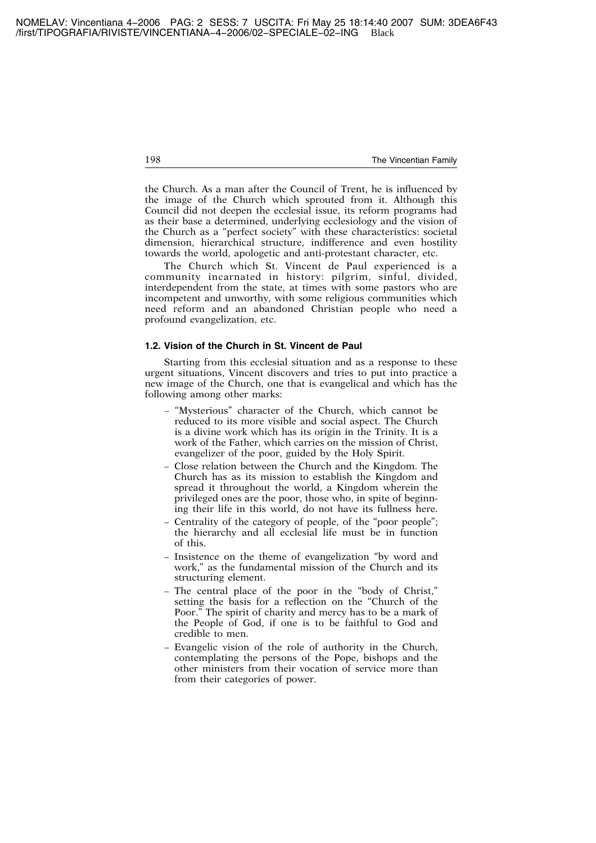the Church. As a man after the Council of Trent, he is influenced by the image of the Church which sprouted from it. Although this Council did not deepen the ecclesial issue, its reform programs had as their base a determined, underlying ecclesiology and the vision of the Church as a "perfect society" with these characteristics: societal dimension, hierarchical structure, indifference and even hostility towards the world, apologetic and anti-protestant character, etc.

The Church which St. Vincent de Paul experienced is a community incarnated in history: pilgrim, sinful, divided, interdependent from the state, at times with some pastors who are incompetent and unworthy, with some religious communities which need reform and an abandoned Christian people who need a profound evangelization, etc.

#### **1.2. Vision of the Church in St. Vincent de Paul**

Starting from this ecclesial situation and as a response to these urgent situations, Vincent discovers and tries to put into practice a new image of the Church, one that is evangelical and which has the following among other marks:

- − "Mysterious" character of the Church, which cannot be reduced to its more visible and social aspect. The Church is a divine work which has its origin in the Trinity. It is a work of the Father, which carries on the mission of Christ, evangelizer of the poor, guided by the Holy Spirit.
- − Close relation between the Church and the Kingdom. The Church has as its mission to establish the Kingdom and spread it throughout the world, a Kingdom wherein the privileged ones are the poor, those who, in spite of beginning their life in this world, do not have its fullness here.
- − Centrality of the category of people, of the "poor people"; the hierarchy and all ecclesial life must be in function of this.
- − Insistence on the theme of evangelization "by word and work," as the fundamental mission of the Church and its structuring element.
- − The central place of the poor in the "body of Christ," setting the basis for a reflection on the "Church of the Poor." The spirit of charity and mercy has to be a mark of the People of God, if one is to be faithful to God and credible to men.
- − Evangelic vision of the role of authority in the Church, contemplating the persons of the Pope, bishops and the other ministers from their vocation of service more than from their categories of power.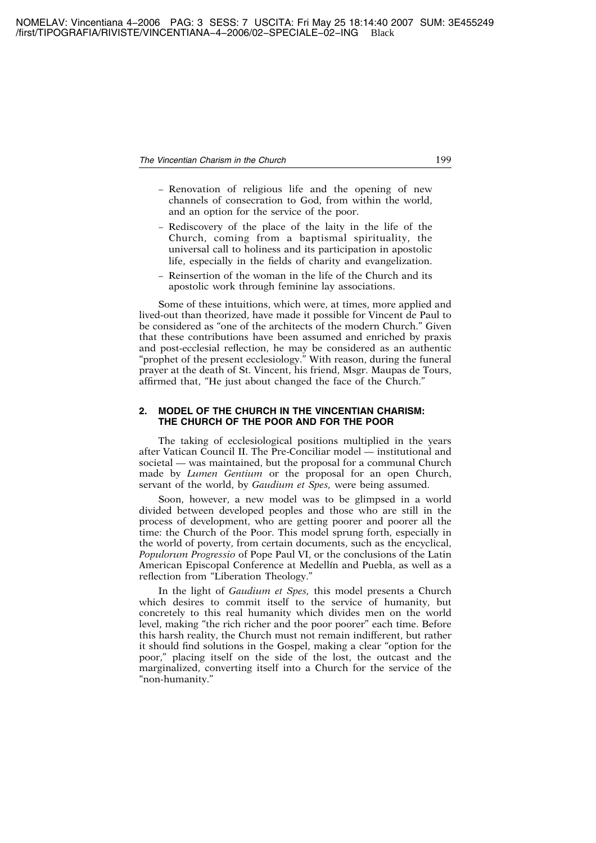- − Renovation of religious life and the opening of new channels of consecration to God, from within the world, and an option for the service of the poor.
- − Rediscovery of the place of the laity in the life of the Church, coming from a baptismal spirituality, the universal call to holiness and its participation in apostolic life, especially in the fields of charity and evangelization.
- − Reinsertion of the woman in the life of the Church and its apostolic work through feminine lay associations.

Some of these intuitions, which were, at times, more applied and lived-out than theorized, have made it possible for Vincent de Paul to be considered as "one of the architects of the modern Church." Given that these contributions have been assumed and enriched by praxis and post-ecclesial reflection, he may be considered as an authentic "prophet of the present ecclesiology." With reason, during the funeral prayer at the death of St. Vincent, his friend, Msgr. Maupas de Tours, affirmed that, "He just about changed the face of the Church."

#### **2. MODEL OF THE CHURCH IN THE VINCENTIAN CHARISM: THE CHURCH OF THE POOR AND FOR THE POOR**

The taking of ecclesiological positions multiplied in the years after Vatican Council II. The Pre-Conciliar model — institutional and societal — was maintained, but the proposal for a communal Church made by *Lumen Gentium* or the proposal for an open Church, servant of the world, by *Gaudium et Spes,* were being assumed.

Soon, however, a new model was to be glimpsed in a world divided between developed peoples and those who are still in the process of development, who are getting poorer and poorer all the time: the Church of the Poor. This model sprung forth, especially in the world of poverty, from certain documents, such as the encyclical, *Populorum Progressio* of Pope Paul VI, or the conclusions of the Latin American Episcopal Conference at Medellín and Puebla, as well as a reflection from "Liberation Theology."

In the light of *Gaudium et Spes,* this model presents a Church which desires to commit itself to the service of humanity, but concretely to this real humanity which divides men on the world level, making "the rich richer and the poor poorer" each time. Before this harsh reality, the Church must not remain indifferent, but rather it should find solutions in the Gospel, making a clear "option for the poor," placing itself on the side of the lost, the outcast and the marginalized, converting itself into a Church for the service of the "non-humanity."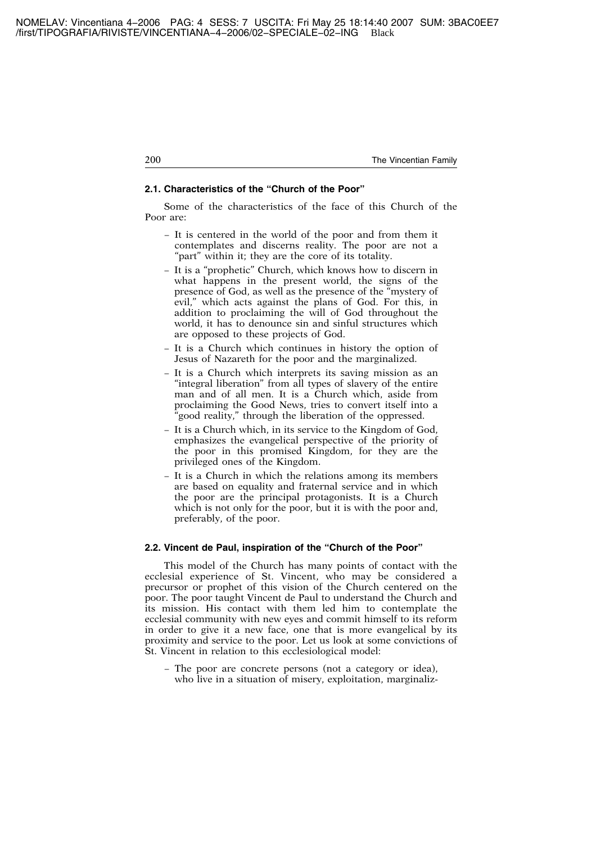# **2.1. Characteristics of the "Church of the Poor"**

Some of the characteristics of the face of this Church of the Poor are:

- − It is centered in the world of the poor and from them it contemplates and discerns reality. The poor are not a "part" within it; they are the core of its totality.
- − It is a "prophetic" Church, which knows how to discern in what happens in the present world, the signs of the presence of God, as well as the presence of the "mystery of evil," which acts against the plans of God. For this, in addition to proclaiming the will of God throughout the world, it has to denounce sin and sinful structures which are opposed to these projects of God.
- − It is a Church which continues in history the option of Jesus of Nazareth for the poor and the marginalized.
- − It is a Church which interprets its saving mission as an "integral liberation" from all types of slavery of the entire man and of all men. It is a Church which, aside from proclaiming the Good News, tries to convert itself into a "good reality," through the liberation of the oppressed.
- − It is a Church which, in its service to the Kingdom of God, emphasizes the evangelical perspective of the priority of the poor in this promised Kingdom, for they are the privileged ones of the Kingdom.
- − It is a Church in which the relations among its members are based on equality and fraternal service and in which the poor are the principal protagonists. It is a Church which is not only for the poor, but it is with the poor and, preferably, of the poor.

# **2.2. Vincent de Paul, inspiration of the "Church of the Poor"**

This model of the Church has many points of contact with the ecclesial experience of St. Vincent, who may be considered a precursor or prophet of this vision of the Church centered on the poor. The poor taught Vincent de Paul to understand the Church and its mission. His contact with them led him to contemplate the ecclesial community with new eyes and commit himself to its reform in order to give it a new face, one that is more evangelical by its proximity and service to the poor. Let us look at some convictions of St. Vincent in relation to this ecclesiological model:

− The poor are concrete persons (not a category or idea), who live in a situation of misery, exploitation, marginaliz-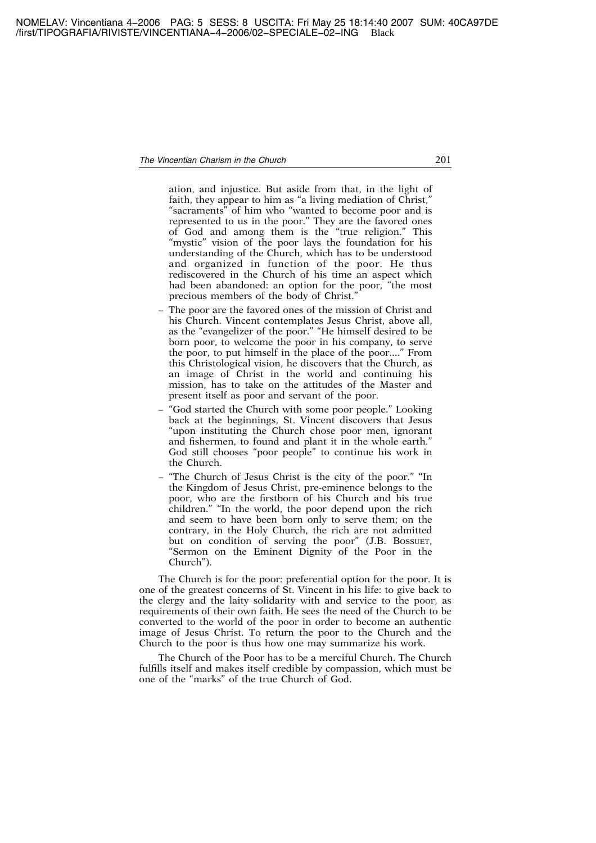ation, and injustice. But aside from that, in the light of faith, they appear to him as "a living mediation of Christ," "sacraments" of him who "wanted to become poor and is represented to us in the poor." They are the favored ones of God and among them is the "true religion." This "mystic" vision of the poor lays the foundation for his understanding of the Church, which has to be understood and organized in function of the poor. He thus rediscovered in the Church of his time an aspect which had been abandoned: an option for the poor, "the most precious members of the body of Christ."

- − The poor are the favored ones of the mission of Christ and his Church. Vincent contemplates Jesus Christ, above all, as the "evangelizer of the poor." "He himself desired to be born poor, to welcome the poor in his company, to serve the poor, to put himself in the place of the poor...." From this Christological vision, he discovers that the Church, as an image of Christ in the world and continuing his mission, has to take on the attitudes of the Master and present itself as poor and servant of the poor.
- − "God started the Church with some poor people." Looking back at the beginnings, St. Vincent discovers that Jesus "upon instituting the Church chose poor men, ignorant and fishermen, to found and plant it in the whole earth." God still chooses "poor people" to continue his work in the Church.
- − "The Church of Jesus Christ is the city of the poor." "In the Kingdom of Jesus Christ, pre-eminence belongs to the poor, who are the firstborn of his Church and his true children." "In the world, the poor depend upon the rich and seem to have been born only to serve them; on the contrary, in the Holy Church, the rich are not admitted but on condition of serving the poor" (J.B. BOSSUET, "Sermon on the Eminent Dignity of the Poor in the Church").

The Church is for the poor: preferential option for the poor. It is one of the greatest concerns of St. Vincent in his life: to give back to the clergy and the laity solidarity with and service to the poor, as requirements of their own faith. He sees the need of the Church to be converted to the world of the poor in order to become an authentic image of Jesus Christ. To return the poor to the Church and the Church to the poor is thus how one may summarize his work.

The Church of the Poor has to be a merciful Church. The Church fulfills itself and makes itself credible by compassion, which must be one of the "marks" of the true Church of God.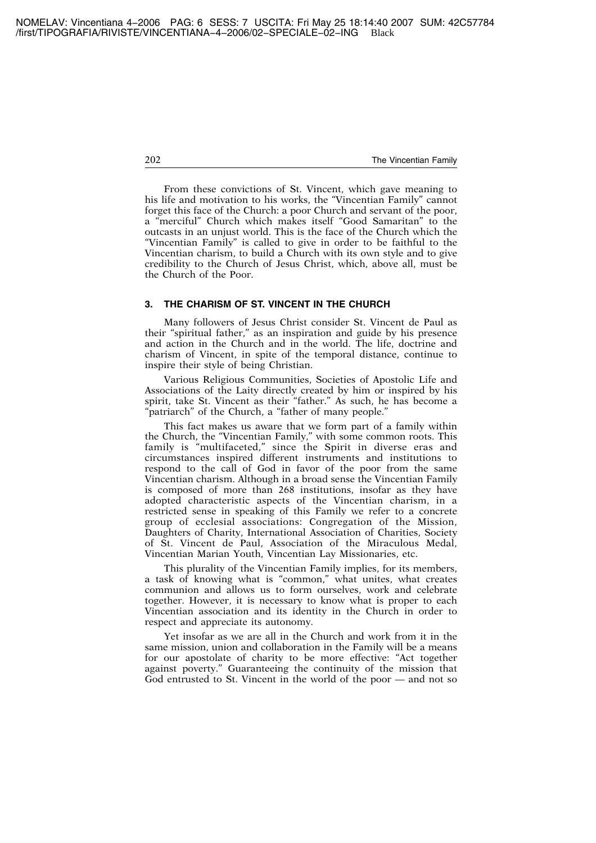From these convictions of St. Vincent, which gave meaning to his life and motivation to his works, the "Vincentian Family" cannot forget this face of the Church: a poor Church and servant of the poor, a "merciful" Church which makes itself "Good Samaritan" to the outcasts in an unjust world. This is the face of the Church which the "Vincentian Family" is called to give in order to be faithful to the Vincentian charism, to build a Church with its own style and to give credibility to the Church of Jesus Christ, which, above all, must be the Church of the Poor.

#### **3. THE CHARISM OF ST. VINCENT IN THE CHURCH**

Many followers of Jesus Christ consider St. Vincent de Paul as their "spiritual father," as an inspiration and guide by his presence and action in the Church and in the world. The life, doctrine and charism of Vincent, in spite of the temporal distance, continue to inspire their style of being Christian.

Various Religious Communities, Societies of Apostolic Life and Associations of the Laity directly created by him or inspired by his spirit, take St. Vincent as their "father." As such, he has become a "patriarch" of the Church, a "father of many people."

This fact makes us aware that we form part of a family within the Church, the "Vincentian Family," with some common roots. This family is "multifaceted," since the Spirit in diverse eras and circumstances inspired different instruments and institutions to respond to the call of God in favor of the poor from the same Vincentian charism. Although in a broad sense the Vincentian Family is composed of more than 268 institutions, insofar as they have adopted characteristic aspects of the Vincentian charism, in a restricted sense in speaking of this Family we refer to a concrete group of ecclesial associations: Congregation of the Mission, Daughters of Charity, International Association of Charities, Society of St. Vincent de Paul, Association of the Miraculous Medal, Vincentian Marian Youth, Vincentian Lay Missionaries, etc.

This plurality of the Vincentian Family implies, for its members, a task of knowing what is "common," what unites, what creates communion and allows us to form ourselves, work and celebrate together. However, it is necessary to know what is proper to each Vincentian association and its identity in the Church in order to respect and appreciate its autonomy.

Yet insofar as we are all in the Church and work from it in the same mission, union and collaboration in the Family will be a means for our apostolate of charity to be more effective: "Act together against poverty." Guaranteeing the continuity of the mission that God entrusted to St. Vincent in the world of the poor — and not so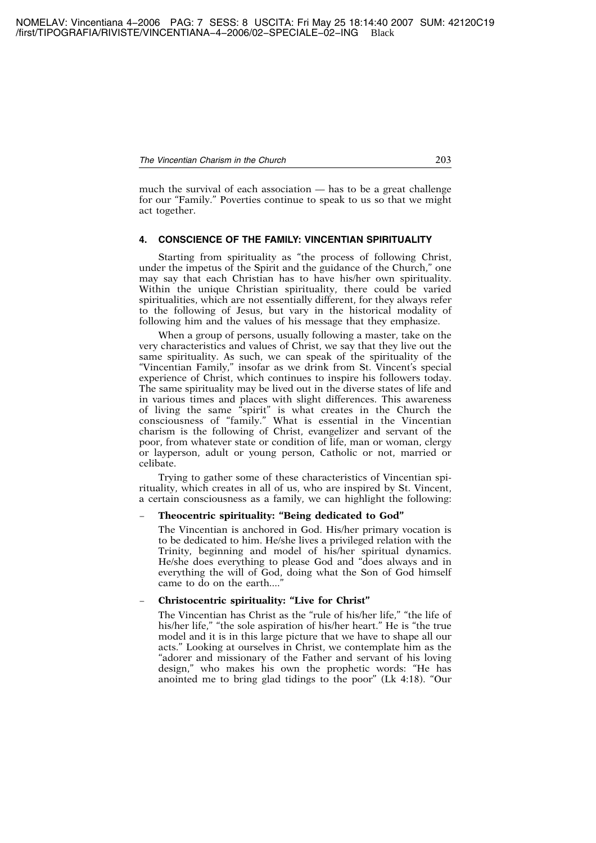much the survival of each association — has to be a great challenge for our "Family." Poverties continue to speak to us so that we might act together.

# **4. CONSCIENCE OF THE FAMILY: VINCENTIAN SPIRITUALITY**

Starting from spirituality as "the process of following Christ, under the impetus of the Spirit and the guidance of the Church," one may say that each Christian has to have his/her own spirituality. Within the unique Christian spirituality, there could be varied spiritualities, which are not essentially different, for they always refer to the following of Jesus, but vary in the historical modality of following him and the values of his message that they emphasize.

When a group of persons, usually following a master, take on the very characteristics and values of Christ, we say that they live out the same spirituality. As such, we can speak of the spirituality of the "Vincentian Family," insofar as we drink from St. Vincent's special experience of Christ, which continues to inspire his followers today. The same spirituality may be lived out in the diverse states of life and in various times and places with slight differences. This awareness of living the same "spirit" is what creates in the Church the consciousness of "family." What is essential in the Vincentian charism is the following of Christ, evangelizer and servant of the poor, from whatever state or condition of life, man or woman, clergy or layperson, adult or young person, Catholic or not, married or celibate.

Trying to gather some of these characteristics of Vincentian spirituality, which creates in all of us, who are inspired by St. Vincent, a certain consciousness as a family, we can highlight the following:

# − **Theocentric spirituality: "Being dedicated to God"**

The Vincentian is anchored in God. His/her primary vocation is to be dedicated to him. He/she lives a privileged relation with the Trinity, beginning and model of his/her spiritual dynamics. He/she does everything to please God and "does always and in everything the will of God, doing what the Son of God himself came to do on the earth...."

# − **Christocentric spirituality: "Live for Christ"**

The Vincentian has Christ as the "rule of his/her life," "the life of his/her life," "the sole aspiration of his/her heart." He is "the true model and it is in this large picture that we have to shape all our acts." Looking at ourselves in Christ, we contemplate him as the "adorer and missionary of the Father and servant of his loving design," who makes his own the prophetic words: "He has anointed me to bring glad tidings to the poor" (Lk 4:18). "Our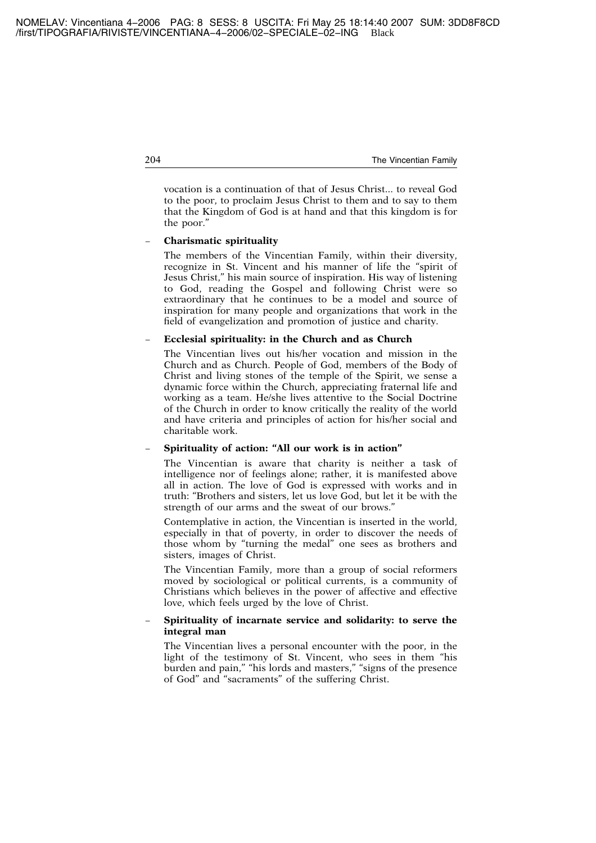vocation is a continuation of that of Jesus Christ... to reveal God to the poor, to proclaim Jesus Christ to them and to say to them that the Kingdom of God is at hand and that this kingdom is for the poor."

# − **Charismatic spirituality**

The members of the Vincentian Family, within their diversity, recognize in St. Vincent and his manner of life the "spirit of Jesus Christ," his main source of inspiration. His way of listening to God, reading the Gospel and following Christ were so extraordinary that he continues to be a model and source of inspiration for many people and organizations that work in the field of evangelization and promotion of justice and charity.

# − **Ecclesial spirituality: in the Church and as Church**

The Vincentian lives out his/her vocation and mission in the Church and as Church. People of God, members of the Body of Christ and living stones of the temple of the Spirit, we sense a dynamic force within the Church, appreciating fraternal life and working as a team. He/she lives attentive to the Social Doctrine of the Church in order to know critically the reality of the world and have criteria and principles of action for his/her social and charitable work.

# − **Spirituality of action: "All our work is in action"**

The Vincentian is aware that charity is neither a task of intelligence nor of feelings alone; rather, it is manifested above all in action. The love of God is expressed with works and in truth: "Brothers and sisters, let us love God, but let it be with the strength of our arms and the sweat of our brows."

Contemplative in action, the Vincentian is inserted in the world, especially in that of poverty, in order to discover the needs of those whom by "turning the medal" one sees as brothers and sisters, images of Christ.

The Vincentian Family, more than a group of social reformers moved by sociological or political currents, is a community of Christians which believes in the power of affective and effective love, which feels urged by the love of Christ.

# − **Spirituality of incarnate service and solidarity: to serve the integral man**

The Vincentian lives a personal encounter with the poor, in the light of the testimony of St. Vincent, who sees in them "his burden and pain," "his lords and masters," "signs of the presence of God" and "sacraments" of the suffering Christ.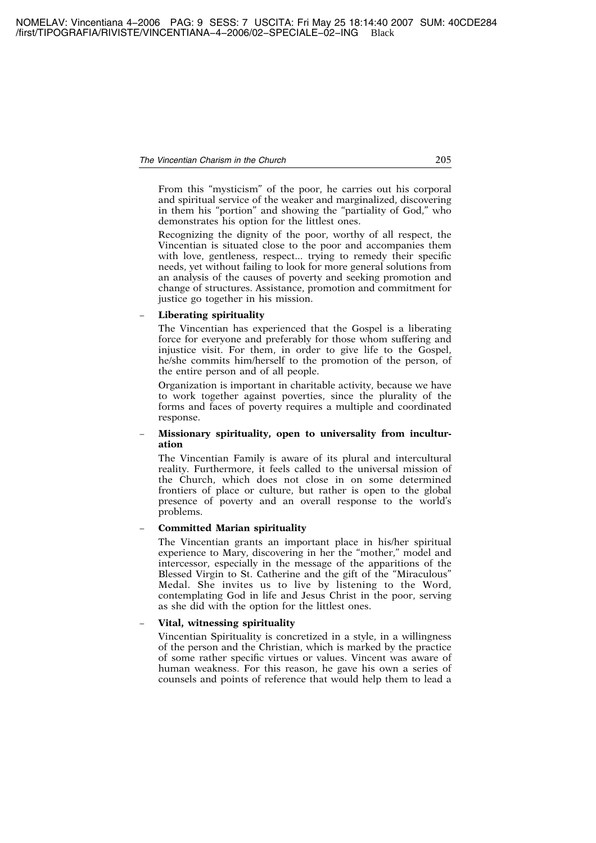From this "mysticism" of the poor, he carries out his corporal and spiritual service of the weaker and marginalized, discovering in them his "portion" and showing the "partiality of God," who demonstrates his option for the littlest ones.

Recognizing the dignity of the poor, worthy of all respect, the Vincentian is situated close to the poor and accompanies them with love, gentleness, respect... trying to remedy their specific needs, yet without failing to look for more general solutions from an analysis of the causes of poverty and seeking promotion and change of structures. Assistance, promotion and commitment for justice go together in his mission.

# − **Liberating spirituality**

The Vincentian has experienced that the Gospel is a liberating force for everyone and preferably for those whom suffering and injustice visit. For them, in order to give life to the Gospel, he/she commits him/herself to the promotion of the person, of the entire person and of all people.

Organization is important in charitable activity, because we have to work together against poverties, since the plurality of the forms and faces of poverty requires a multiple and coordinated response.

#### Missionary spirituality, open to universality from incultur**ation**

The Vincentian Family is aware of its plural and intercultural reality. Furthermore, it feels called to the universal mission of the Church, which does not close in on some determined frontiers of place or culture, but rather is open to the global presence of poverty and an overall response to the world's problems.

#### − **Committed Marian spirituality**

The Vincentian grants an important place in his/her spiritual experience to Mary, discovering in her the "mother," model and intercessor, especially in the message of the apparitions of the Blessed Virgin to St. Catherine and the gift of the "Miraculous" Medal. She invites us to live by listening to the Word, contemplating God in life and Jesus Christ in the poor, serving as she did with the option for the littlest ones.

#### − **Vital, witnessing spirituality**

Vincentian Spirituality is concretized in a style, in a willingness of the person and the Christian, which is marked by the practice of some rather specific virtues or values. Vincent was aware of human weakness. For this reason, he gave his own a series of counsels and points of reference that would help them to lead a